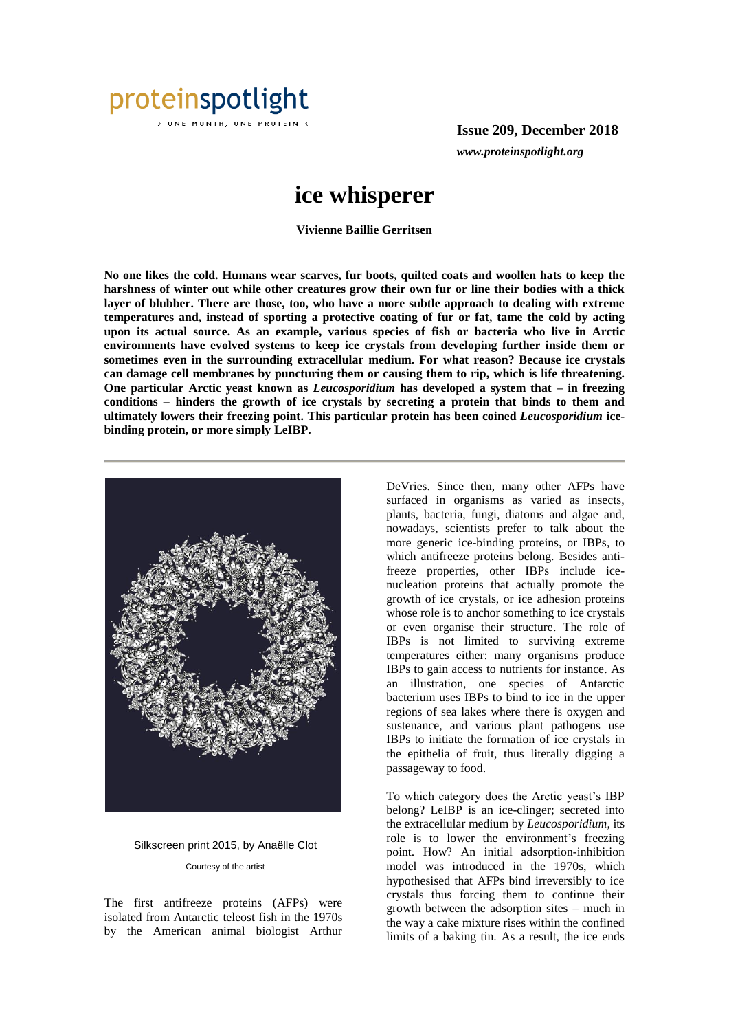

ONE MONTH, ONE PROTEIN <

**Issue 209, December 2018** *www.proteinspotlight.org*

## **ice whisperer**

**Vivienne Baillie Gerritsen**

**No one likes the cold. Humans wear scarves, fur boots, quilted coats and woollen hats to keep the harshness of winter out while other creatures grow their own fur or line their bodies with a thick layer of blubber. There are those, too, who have a more subtle approach to dealing with extreme temperatures and, instead of sporting a protective coating of fur or fat, tame the cold by acting upon its actual source. As an example, various species of fish or bacteria who live in Arctic environments have evolved systems to keep ice crystals from developing further inside them or sometimes even in the surrounding extracellular medium. For what reason? Because ice crystals can damage cell membranes by puncturing them or causing them to rip, which is life threatening. One particular Arctic yeast known as** *Leucosporidium* **has developed a system that – in freezing conditions – hinders the growth of ice crystals by secreting a protein that binds to them and ultimately lowers their freezing point. This particular protein has been coined** *Leucosporidium* **icebinding protein, or more simply LeIBP.** 



Silkscreen print 2015, by Anaëlle Clot Courtesy of the artist

The first antifreeze proteins (AFPs) were isolated from Antarctic teleost fish in the 1970s by the American animal biologist Arthur

DeVries. Since then, many other AFPs have surfaced in organisms as varied as insects, plants, bacteria, fungi, diatoms and algae and, nowadays, scientists prefer to talk about the more generic ice-binding proteins, or IBPs, to which antifreeze proteins belong. Besides antifreeze properties, other IBPs include icenucleation proteins that actually promote the growth of ice crystals, or ice adhesion proteins whose role is to anchor something to ice crystals or even organise their structure. The role of IBPs is not limited to surviving extreme temperatures either: many organisms produce IBPs to gain access to nutrients for instance. As an illustration, one species of Antarctic bacterium uses IBPs to bind to ice in the upper regions of sea lakes where there is oxygen and sustenance, and various plant pathogens use IBPs to initiate the formation of ice crystals in the epithelia of fruit, thus literally digging a passageway to food.

To which category does the Arctic yeast's IBP belong? LeIBP is an ice-clinger; secreted into the extracellular medium by *Leucosporidium,* its role is to lower the environment's freezing point. How? An initial adsorption-inhibition model was introduced in the 1970s, which hypothesised that AFPs bind irreversibly to ice crystals thus forcing them to continue their growth between the adsorption sites – much in the way a cake mixture rises within the confined limits of a baking tin. As a result, the ice ends